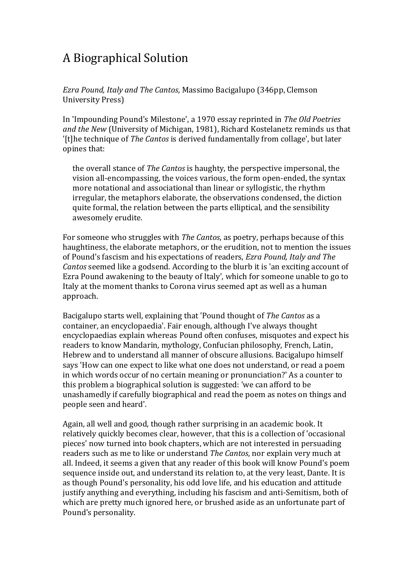## A Biographical Solution

*Ezra Pound, Italy and The Cantos*, Massimo Bacigalupo (346pp, Clemson University Press)

In 'Impounding Pound's Milestone', a 1970 essay reprinted in *The Old Poetries and the New* (University of Michigan, 1981), Richard Kostelanetz reminds us that '[t]he technique of *The Cantos* is derived fundamentally from collage', but later opines that:

the overall stance of *The Cantos* is haughty, the perspective impersonal, the vision all-encompassing, the voices various, the form open-ended, the syntax more notational and associational than linear or syllogistic, the rhythm irregular, the metaphors elaborate, the observations condensed, the diction quite formal, the relation between the parts elliptical, and the sensibility awesomely erudite.

For someone who struggles with *The Cantos*, as poetry, perhaps because of this haughtiness, the elaborate metaphors, or the erudition, not to mention the issues of Pound's fascism and his expectations of readers, *Ezra Pound, Italy and The Cantos* seemed like a godsend. According to the blurb it is 'an exciting account of Ezra Pound awakening to the beauty of Italy', which for someone unable to go to Italy at the moment thanks to Corona virus seemed apt as well as a human approach.

Bacigalupo starts well, explaining that 'Pound thought of *The Cantos* as a container, an encyclopaedia'. Fair enough, although I've always thought encyclopaedias explain whereas Pound often confuses, misquotes and expect his readers to know Mandarin, mythology, Confucian philosophy, French, Latin, Hebrew and to understand all manner of obscure allusions. Bacigalupo himself says 'How can one expect to like what one does not understand, or read a poem in which words occur of no certain meaning or pronunciation?' As a counter to this problem a biographical solution is suggested: 'we can afford to be unashamedly if carefully biographical and read the poem as notes on things and people seen and heard'.

Again, all well and good, though rather surprising in an academic book. It relatively quickly becomes clear, however, that this is a collection of 'occasional pieces' now turned into book chapters, which are not interested in persuading readers such as me to like or understand *The Cantos*, nor explain very much at all. Indeed, it seems a given that any reader of this book will know Pound's poem sequence inside out, and understand its relation to, at the very least, Dante. It is as though Pound's personality, his odd love life, and his education and attitude justify anything and everything, including his fascism and anti-Semitism, both of which are pretty much ignored here, or brushed aside as an unfortunate part of Pound's personality.